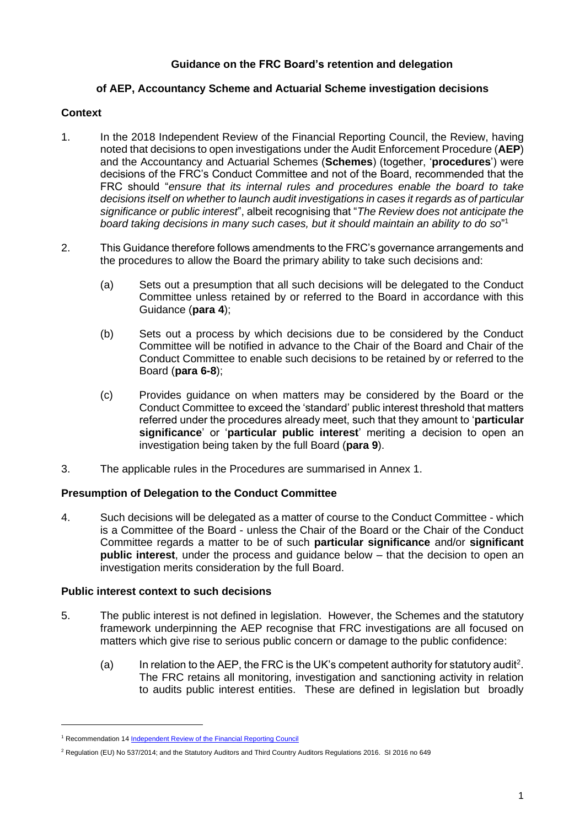# **Guidance on the FRC Board's retention and delegation**

## **of AEP, Accountancy Scheme and Actuarial Scheme investigation decisions**

#### **Context**

- 1. In the 2018 [Independent Review of the Financial Reporting Council,](https://assets.publishing.service.gov.uk/government/uploads/system/uploads/attachment_data/file/767387/frc-independent-review-final-report.pdf) the Review, having noted that decisions to open investigations under the Audit Enforcement Procedure (**AEP**) and the Accountancy and Actuarial Schemes (**Schemes**) (together, '**procedures**') were decisions of the FRC's Conduct Committee and not of the Board, recommended that the FRC should "*ensure that its internal rules and procedures enable the board to take decisions itself on whether to launch audit investigations in cases it regards as of particular significance or public interest*", albeit recognising that "*The Review does not anticipate the board taking decisions in many such cases, but it should maintain an ability to do so*" 1
- 2. This Guidance therefore follows amendments to the FRC's governance arrangements and the procedures to allow the Board the primary ability to take such decisions and:
	- (a) Sets out a presumption that all such decisions will be delegated to the Conduct Committee unless retained by or referred to the Board in accordance with this Guidance (**para 4**);
	- (b) Sets out a process by which decisions due to be considered by the Conduct Committee will be notified in advance to the Chair of the Board and Chair of the Conduct Committee to enable such decisions to be retained by or referred to the Board (**para 6-8**);
	- (c) Provides guidance on when matters may be considered by the Board or the Conduct Committee to exceed the 'standard' public interest threshold that matters referred under the procedures already meet, such that they amount to '**particular significance**' or '**particular public interest**' meriting a decision to open an investigation being taken by the full Board (**para 9**).
- 3. The applicable rules in the Procedures are summarised in Annex 1.

# **Presumption of Delegation to the Conduct Committee**

4. Such decisions will be delegated as a matter of course to the Conduct Committee - which is a Committee of the Board - unless the Chair of the Board or the Chair of the Conduct Committee regards a matter to be of such **particular significance** and/or **significant public interest**, under the process and guidance below – that the decision to open an investigation merits consideration by the full Board.

#### **Public interest context to such decisions**

- 5. The public interest is not defined in legislation. However, the Schemes and the statutory framework underpinning the AEP recognise that FRC investigations are all focused on matters which give rise to serious public concern or damage to the public confidence:
	- (a) In relation to the AEP, the FRC is the UK's competent authority for statutory audit<sup>2</sup>. The FRC retains all monitoring, investigation and sanctioning activity in relation to audits public interest entities. These are defined in legislation but broadly

<sup>1</sup> Recommendation 1[4 Independent Review of the Financial Reporting Council](https://assets.publishing.service.gov.uk/government/uploads/system/uploads/attachment_data/file/767387/frc-independent-review-final-report.pdf)

<sup>2</sup> Regulation (EU) No 537/2014; and the Statutory Auditors and Third Country Auditors Regulations 2016. SI 2016 no 649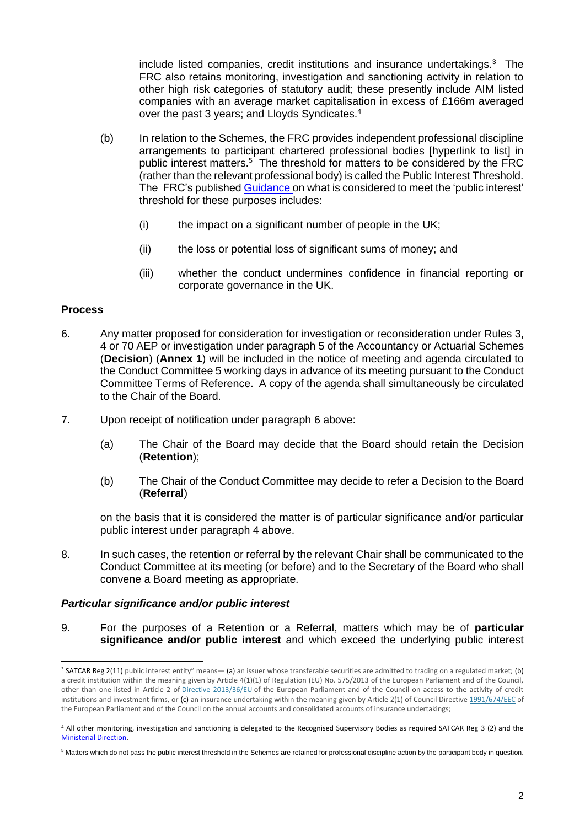include listed companies, credit institutions and insurance undertakings.<sup>3</sup> The FRC also retains monitoring, investigation and sanctioning activity in relation to other high risk categories of statutory audit; these presently include AIM listed companies with an average market capitalisation in excess of £166m averaged over the past 3 years; and Lloyds Syndicates.<sup>4</sup>

- (b) In relation to the Schemes, the FRC provides independent professional discipline arrangements to participant chartered professional bodies [hyperlink to list] in public interest matters.<sup>5</sup> The threshold for matters to be considered by the FRC (rather than the relevant professional body) is called the Public Interest Threshold. The FRC's published [Guidance](https://www.frc.org.uk/getattachment/623ce7ae-8890-48a0-8df6-f2e26a75cb69/Guidance-on-commencement-of-investigation-of-cases-by-FRC.pdf) on what is considered to meet the 'public interest' threshold for these purposes includes:
	- (i) the impact on a significant number of people in the UK;
	- (ii) the loss or potential loss of significant sums of money; and
	- (iii) whether the conduct undermines confidence in financial reporting or corporate governance in the UK.

## **Process**

- 6. Any matter proposed for consideration for investigation or reconsideration under Rules 3, 4 or 70 AEP or investigation under paragraph 5 of the Accountancy or Actuarial Schemes (**Decision**) (**Annex 1**) will be included in the notice of meeting and agenda circulated to the Conduct Committee 5 working days in advance of its meeting pursuant to the Conduct Committee Terms of Reference. A copy of the agenda shall simultaneously be circulated to the Chair of the Board.
- 7. Upon receipt of notification under paragraph 6 above:
	- (a) The Chair of the Board may decide that the Board should retain the Decision (**Retention**);
	- (b) The Chair of the Conduct Committee may decide to refer a Decision to the Board (**Referral**)

on the basis that it is considered the matter is of particular significance and/or particular public interest under paragraph 4 above.

8. In such cases, the retention or referral by the relevant Chair shall be communicated to the Conduct Committee at its meeting (or before) and to the Secretary of the Board who shall convene a Board meeting as appropriate.

#### *Particular significance and/or public interest*

9. For the purposes of a Retention or a Referral, matters which may be of **particular significance and/or public interest** and which exceed the underlying public interest

<sup>&</sup>lt;sup>3</sup> SATCAR Reg 2(11) public interest entity" means— (a) an issuer whose transferable securities are admitted to trading on a regulated market: (b) a credit institution within the meaning given by Article 4(1)(1) of Regulation (EU) No. 575/2013 of the European Parliament and of the Council, other than one listed in Article 2 of [Directive 2013/36/EU](https://www.legislation.gov.uk/european/directive/2013/0036) of the European Parliament and of the Council on access to the activity of credit institutions and investment firms, or (c) an insurance undertaking within the meaning given by Article 2(1) of Council Directive [1991/674/EEC](https://www.legislation.gov.uk/european/directive/1991/0674) of the European Parliament and of the Council on the annual accounts and consolidated accounts of insurance undertakings;

<sup>4</sup> All other monitoring, investigation and sanctioning is delegated to the Recognised Supervisory Bodies as required SATCAR Reg 3 (2) and the [Ministerial Direction.](https://assets.publishing.service.gov.uk/government/uploads/system/uploads/attachment_data/file/543790/beis-16-4-ministerial-direction-on-delegation-of-audit-regulatory-tasks.pdf)

<sup>5</sup> Matters which do not pass the public interest threshold in the Schemes are retained for professional discipline action by the participant body in question.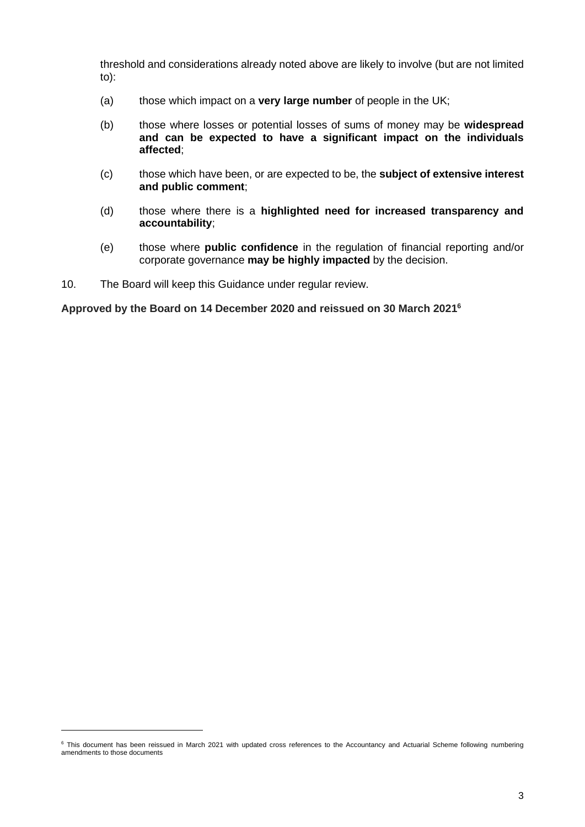threshold and considerations already noted above are likely to involve (but are not limited to):

- (a) those which impact on a **very large number** of people in the UK;
- (b) those where losses or potential losses of sums of money may be **widespread and can be expected to have a significant impact on the individuals affected**;
- (c) those which have been, or are expected to be, the **subject of extensive interest and public comment**;
- (d) those where there is a **highlighted need for increased transparency and accountability**;
- (e) those where **public confidence** in the regulation of financial reporting and/or corporate governance **may be highly impacted** by the decision.
- 10. The Board will keep this Guidance under regular review.

**Approved by the Board on 14 December 2020 and reissued on 30 March 2021<sup>6</sup>**

<sup>&</sup>lt;sup>6</sup> This document has been reissued in March 2021 with updated cross references to the Accountancy and Actuarial Scheme following numbering amendments to those documents